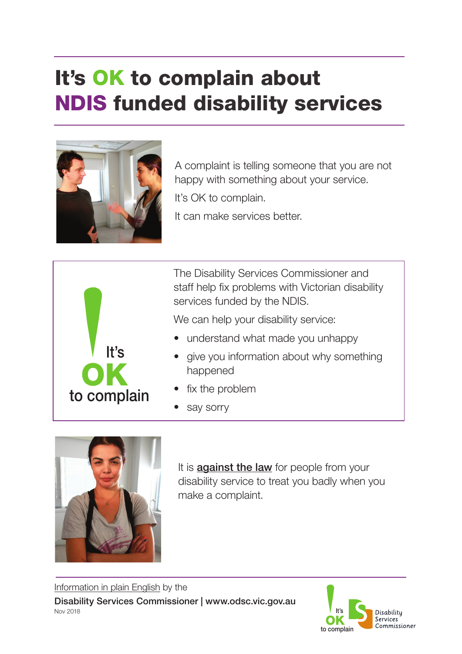## It's OK to complain about NDIS funded disability services



A complaint is telling someone that you are not happy with something about your service. It's OK to complain.

It can make services better.



The Disability Services Commissioner and staff help fix problems with Victorian disability services funded by the NDIS.

We can help your disability service:

- understand what made you unhappy
- give you information about why something happened
- fix the problem
- say sorry



It is **against the law** for people from your disability service to treat you badly when you make a complaint.

Information in plain English by the Disability Services Commissioner | www.odsc.vic.gov.au Nov 2018